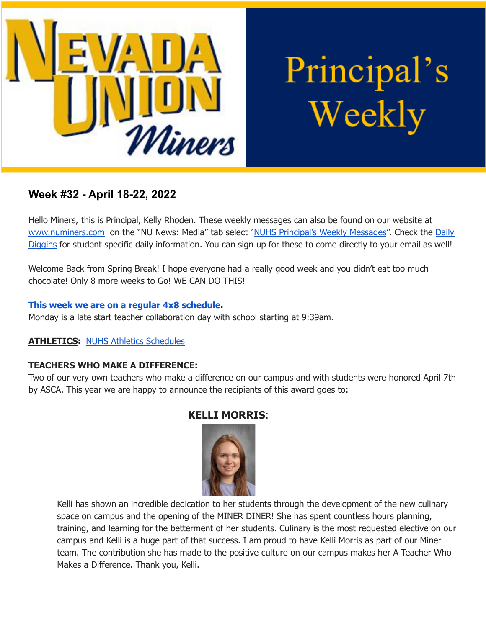

Principal's Weekly

# **Week #32 - April 18-22, 2022**

Hello Miners, this is Principal, Kelly Rhoden. These weekly messages can also be found on our website at [www.numiners.com](http://www.numiners.com) on the "NU News: Media" tab select "NUHS [Principal's](https://nevadaunion.njuhsd.com/NU-NewsMedia/NUHS-Principals-Weekly-Messages/index.html) Weekly Messages". Check the [Daily](https://nevadaunion.njuhsd.com/NU-NewsMedia/Daily-Diggins-Bulletin/index.html) [Diggins](https://nevadaunion.njuhsd.com/NU-NewsMedia/Daily-Diggins-Bulletin/index.html) for student specific daily information. You can sign up for these to come directly to your email as well!

Welcome Back from Spring Break! I hope everyone had a really good week and you didn't eat too much chocolate! Only 8 more weeks to Go! WE CAN DO THIS!

#### **This week we are on a regular 4x8 [schedule.](https://nevadaunion.njuhsd.com/documents/Bell%20Schedules/Bell-Schedule-2021-2022-NUHS-4x8.pdf)**

Monday is a late start teacher collaboration day with school starting at 9:39am.

#### **ATHLETICS:** NUHS Athletics [Schedules](https://nevadaunion.njuhsd.com/Athletics/Sports-Calendar--Schedules/index.html)

#### **TEACHERS WHO MAKE A DIFFERENCE:**

Two of our very own teachers who make a difference on our campus and with students were honored April 7th by ASCA. This year we are happy to announce the recipients of this award goes to:

## **KELLI MORRIS**:



Kelli has shown an incredible dedication to her students through the development of the new culinary space on campus and the opening of the MINER DINER! She has spent countless hours planning, training, and learning for the betterment of her students. Culinary is the most requested elective on our campus and Kelli is a huge part of that success. I am proud to have Kelli Morris as part of our Miner team. The contribution she has made to the positive culture on our campus makes her A Teacher Who Makes a Difference. Thank you, Kelli.